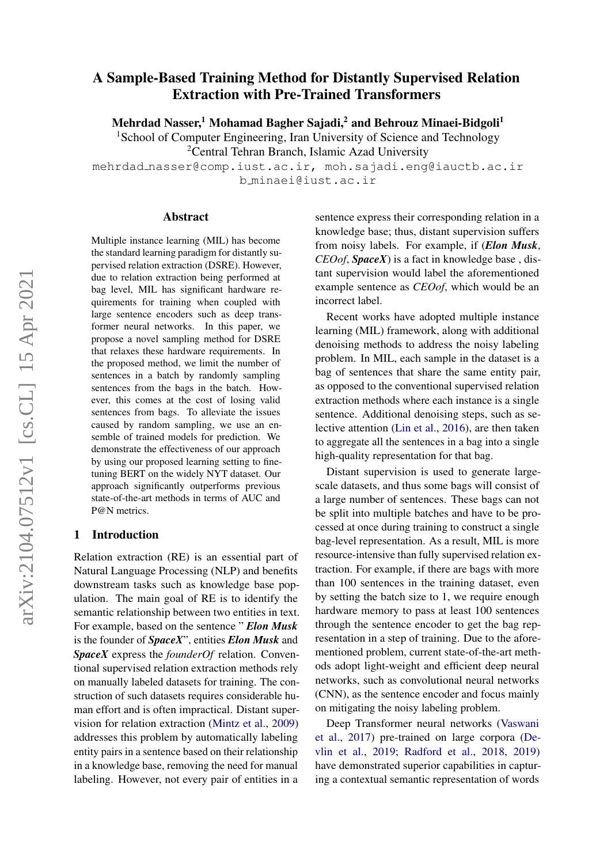# A Sample-Based Training Method for Distantly Supervised Relation Extraction with Pre-Trained Transformers

Mehrdad Nasser,<sup>1</sup> Mohamad Bagher Sajadi,<sup>2</sup> and Behrouz Minaei-Bidgoli<sup>1</sup>

<sup>1</sup>School of Computer Engineering, Iran University of Science and Technology

<sup>2</sup>Central Tehran Branch, Islamic Azad University

mehrdad nasser@comp.iust.ac.ir, moh.sajadi.eng@iauctb.ac.ir b minaei@iust.ac.ir

### Abstract

Multiple instance learning (MIL) has become the standard learning paradigm for distantly supervised relation extraction (DSRE). However, due to relation extraction being performed at bag level, MIL has significant hardware requirements for training when coupled with large sentence encoders such as deep transformer neural networks. In this paper, we propose a novel sampling method for DSRE that relaxes these hardware requirements. In the proposed method, we limit the number of sentences in a batch by randomly sampling sentences from the bags in the batch. However, this comes at the cost of losing valid sentences from bags. To alleviate the issues caused by random sampling, we use an ensemble of trained models for prediction. We demonstrate the effectiveness of our approach by using our proposed learning setting to finetuning BERT on the widely NYT dataset. Our approach significantly outperforms previous state-of-the-art methods in terms of AUC and P@N metrics.

### 1 Introduction

Relation extraction (RE) is an essential part of Natural Language Processing (NLP) and benefits downstream tasks such as knowledge base population. The main goal of RE is to identify the semantic relationship between two entities in text. For example, based on the sentence " *Elon Musk* is the founder of *SpaceX*", entities *Elon Musk* and *SpaceX* express the *founderOf* relation. Conventional supervised relation extraction methods rely on manually labeled datasets for training. The construction of such datasets requires considerable human effort and is often impractical. Distant supervision for relation extraction [\(Mintz et al.,](#page-8-0) [2009\)](#page-8-0) addresses this problem by automatically labeling entity pairs in a sentence based on their relationship in a knowledge base, removing the need for manual labeling. However, not every pair of entities in a

sentence express their corresponding relation in a knowledge base; thus, distant supervision suffers from noisy labels. For example, if (*Elon Musk*, *CEOof*, *SpaceX*) is a fact in knowledge base , distant supervision would label the aforementioned example sentence as *CEOof*, which would be an incorrect label.

Recent works have adopted multiple instance learning (MIL) framework, along with additional denoising methods to address the noisy labeling problem. In MIL, each sample in the dataset is a bag of sentences that share the same entity pair, as opposed to the conventional supervised relation extraction methods where each instance is a single sentence. Additional denoising steps, such as selective attention [\(Lin et al.,](#page-8-1) [2016\)](#page-8-1), are then taken to aggregate all the sentences in a bag into a single high-quality representation for that bag.

Distant supervision is used to generate largescale datasets, and thus some bags will consist of a large number of sentences. These bags can not be split into multiple batches and have to be processed at once during training to construct a single bag-level representation. As a result, MIL is more resource-intensive than fully supervised relation extraction. For example, if there are bags with more than 100 sentences in the training dataset, even by setting the batch size to 1, we require enough hardware memory to pass at least 100 sentences through the sentence encoder to get the bag representation in a step of training. Due to the aforementioned problem, current state-of-the-art methods adopt light-weight and efficient deep neural networks, such as convolutional neural networks (CNN), as the sentence encoder and focus mainly on mitigating the noisy labeling problem.

Deep Transformer neural networks [\(Vaswani](#page-8-2) [et al.,](#page-8-2) [2017\)](#page-8-2) pre-trained on large corpora [\(De](#page-7-0)[vlin et al.,](#page-7-0) [2019;](#page-7-0) [Radford et al.,](#page-8-3) [2018,](#page-8-3) [2019\)](#page-8-4) have demonstrated superior capabilities in capturing a contextual semantic representation of words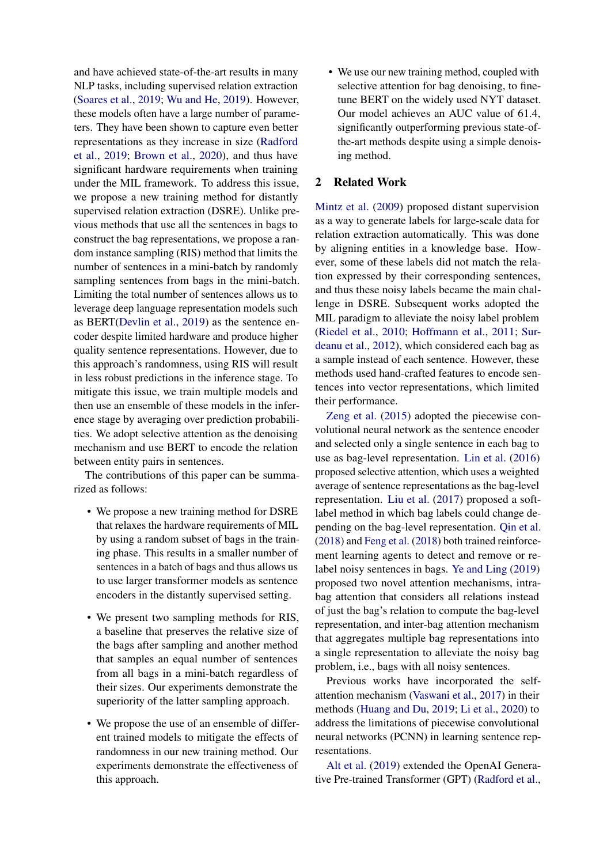and have achieved state-of-the-art results in many NLP tasks, including supervised relation extraction [\(Soares et al.,](#page-8-5) [2019;](#page-8-5) [Wu and He,](#page-8-6) [2019\)](#page-8-6). However, these models often have a large number of parameters. They have been shown to capture even better representations as they increase in size [\(Radford](#page-8-4) [et al.,](#page-8-4) [2019;](#page-8-4) [Brown et al.,](#page-7-1) [2020\)](#page-7-1), and thus have significant hardware requirements when training under the MIL framework. To address this issue, we propose a new training method for distantly supervised relation extraction (DSRE). Unlike previous methods that use all the sentences in bags to construct the bag representations, we propose a random instance sampling (RIS) method that limits the number of sentences in a mini-batch by randomly sampling sentences from bags in the mini-batch. Limiting the total number of sentences allows us to leverage deep language representation models such as BERT[\(Devlin et al.,](#page-7-0) [2019\)](#page-7-0) as the sentence encoder despite limited hardware and produce higher quality sentence representations. However, due to this approach's randomness, using RIS will result in less robust predictions in the inference stage. To mitigate this issue, we train multiple models and then use an ensemble of these models in the inference stage by averaging over prediction probabilities. We adopt selective attention as the denoising mechanism and use BERT to encode the relation between entity pairs in sentences.

The contributions of this paper can be summarized as follows:

- We propose a new training method for DSRE that relaxes the hardware requirements of MIL by using a random subset of bags in the training phase. This results in a smaller number of sentences in a batch of bags and thus allows us to use larger transformer models as sentence encoders in the distantly supervised setting.
- We present two sampling methods for RIS, a baseline that preserves the relative size of the bags after sampling and another method that samples an equal number of sentences from all bags in a mini-batch regardless of their sizes. Our experiments demonstrate the superiority of the latter sampling approach.
- We propose the use of an ensemble of different trained models to mitigate the effects of randomness in our new training method. Our experiments demonstrate the effectiveness of this approach.

• We use our new training method, coupled with selective attention for bag denoising, to finetune BERT on the widely used NYT dataset. Our model achieves an AUC value of 61.4, significantly outperforming previous state-ofthe-art methods despite using a simple denoising method.

### 2 Related Work

[Mintz et al.](#page-8-0) [\(2009\)](#page-8-0) proposed distant supervision as a way to generate labels for large-scale data for relation extraction automatically. This was done by aligning entities in a knowledge base. However, some of these labels did not match the relation expressed by their corresponding sentences, and thus these noisy labels became the main challenge in DSRE. Subsequent works adopted the MIL paradigm to alleviate the noisy label problem [\(Riedel et al.,](#page-8-7) [2010;](#page-8-7) [Hoffmann et al.,](#page-8-8) [2011;](#page-8-8) [Sur](#page-8-9)[deanu et al.,](#page-8-9) [2012\)](#page-8-9), which considered each bag as a sample instead of each sentence. However, these methods used hand-crafted features to encode sentences into vector representations, which limited their performance.

[Zeng et al.](#page-8-10) [\(2015\)](#page-8-10) adopted the piecewise convolutional neural network as the sentence encoder and selected only a single sentence in each bag to use as bag-level representation. [Lin et al.](#page-8-1) [\(2016\)](#page-8-1) proposed selective attention, which uses a weighted average of sentence representations as the bag-level representation. [Liu et al.](#page-8-11) [\(2017\)](#page-8-11) proposed a softlabel method in which bag labels could change depending on the bag-level representation. [Qin et al.](#page-8-12) [\(2018\)](#page-8-12) and [Feng et al.](#page-8-13) [\(2018\)](#page-8-13) both trained reinforcement learning agents to detect and remove or relabel noisy sentences in bags. [Ye and Ling](#page-8-14) [\(2019\)](#page-8-14) proposed two novel attention mechanisms, intrabag attention that considers all relations instead of just the bag's relation to compute the bag-level representation, and inter-bag attention mechanism that aggregates multiple bag representations into a single representation to alleviate the noisy bag problem, i.e., bags with all noisy sentences.

Previous works have incorporated the selfattention mechanism [\(Vaswani et al.,](#page-8-2) [2017\)](#page-8-2) in their methods [\(Huang and Du,](#page-8-15) [2019;](#page-8-15) [Li et al.,](#page-8-16) [2020\)](#page-8-16) to address the limitations of piecewise convolutional neural networks (PCNN) in learning sentence representations.

[Alt et al.](#page-7-2) [\(2019\)](#page-7-2) extended the OpenAI Generative Pre-trained Transformer (GPT) [\(Radford et al.,](#page-8-3)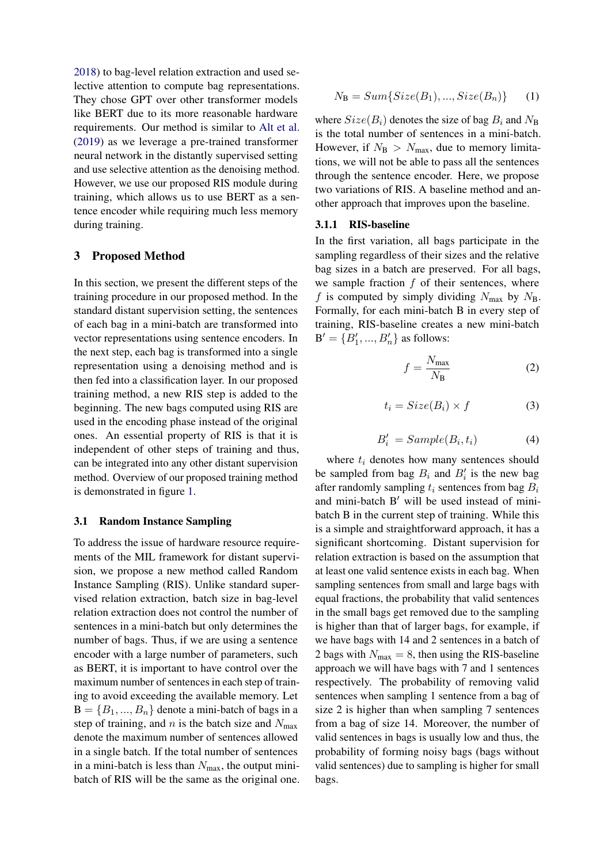[2018\)](#page-8-3) to bag-level relation extraction and used selective attention to compute bag representations. They chose GPT over other transformer models like BERT due to its more reasonable hardware requirements. Our method is similar to [Alt et al.](#page-7-2) [\(2019\)](#page-7-2) as we leverage a pre-trained transformer neural network in the distantly supervised setting and use selective attention as the denoising method. However, we use our proposed RIS module during training, which allows us to use BERT as a sentence encoder while requiring much less memory during training.

### 3 Proposed Method

In this section, we present the different steps of the training procedure in our proposed method. In the standard distant supervision setting, the sentences of each bag in a mini-batch are transformed into vector representations using sentence encoders. In the next step, each bag is transformed into a single representation using a denoising method and is then fed into a classification layer. In our proposed training method, a new RIS step is added to the beginning. The new bags computed using RIS are used in the encoding phase instead of the original ones. An essential property of RIS is that it is independent of other steps of training and thus, can be integrated into any other distant supervision method. Overview of our proposed training method is demonstrated in figure [1.](#page-3-0)

### 3.1 Random Instance Sampling

To address the issue of hardware resource requirements of the MIL framework for distant supervision, we propose a new method called Random Instance Sampling (RIS). Unlike standard supervised relation extraction, batch size in bag-level relation extraction does not control the number of sentences in a mini-batch but only determines the number of bags. Thus, if we are using a sentence encoder with a large number of parameters, such as BERT, it is important to have control over the maximum number of sentences in each step of training to avoid exceeding the available memory. Let  $B = \{B_1, ..., B_n\}$  denote a mini-batch of bags in a step of training, and n is the batch size and  $N_{\text{max}}$ denote the maximum number of sentences allowed in a single batch. If the total number of sentences in a mini-batch is less than  $N_{\text{max}}$ , the output minibatch of RIS will be the same as the original one.

$$
N_{\mathbf{B}} = Sum\{Size(B_1), ..., Size(B_n)\} \tag{1}
$$

where  $Size(B_i)$  denotes the size of bag  $B_i$  and  $N_B$ is the total number of sentences in a mini-batch. However, if  $N_B > N_{\text{max}}$ , due to memory limitations, we will not be able to pass all the sentences through the sentence encoder. Here, we propose two variations of RIS. A baseline method and another approach that improves upon the baseline.

#### 3.1.1 RIS-baseline

In the first variation, all bags participate in the sampling regardless of their sizes and the relative bag sizes in a batch are preserved. For all bags, we sample fraction  $f$  of their sentences, where f is computed by simply dividing  $N_{\text{max}}$  by  $N_{\text{B}}$ . Formally, for each mini-batch B in every step of training, RIS-baseline creates a new mini-batch  $B' = \{B'_1, ..., B'_n\}$  as follows:

$$
f = \frac{N_{\text{max}}}{N_{\text{B}}} \tag{2}
$$

$$
t_i = Size(B_i) \times f \tag{3}
$$

$$
B_i' = Sample(B_i, t_i) \tag{4}
$$

where  $t_i$  denotes how many sentences should be sampled from bag  $B_i$  and  $B'_i$  is the new bag after randomly sampling  $t_i$  sentences from bag  $B_i$ and mini-batch  $B'$  will be used instead of minibatch B in the current step of training. While this is a simple and straightforward approach, it has a significant shortcoming. Distant supervision for relation extraction is based on the assumption that at least one valid sentence exists in each bag. When sampling sentences from small and large bags with equal fractions, the probability that valid sentences in the small bags get removed due to the sampling is higher than that of larger bags, for example, if we have bags with 14 and 2 sentences in a batch of 2 bags with  $N_{\text{max}} = 8$ , then using the RIS-baseline approach we will have bags with 7 and 1 sentences respectively. The probability of removing valid sentences when sampling 1 sentence from a bag of size 2 is higher than when sampling 7 sentences from a bag of size 14. Moreover, the number of valid sentences in bags is usually low and thus, the probability of forming noisy bags (bags without valid sentences) due to sampling is higher for small bags.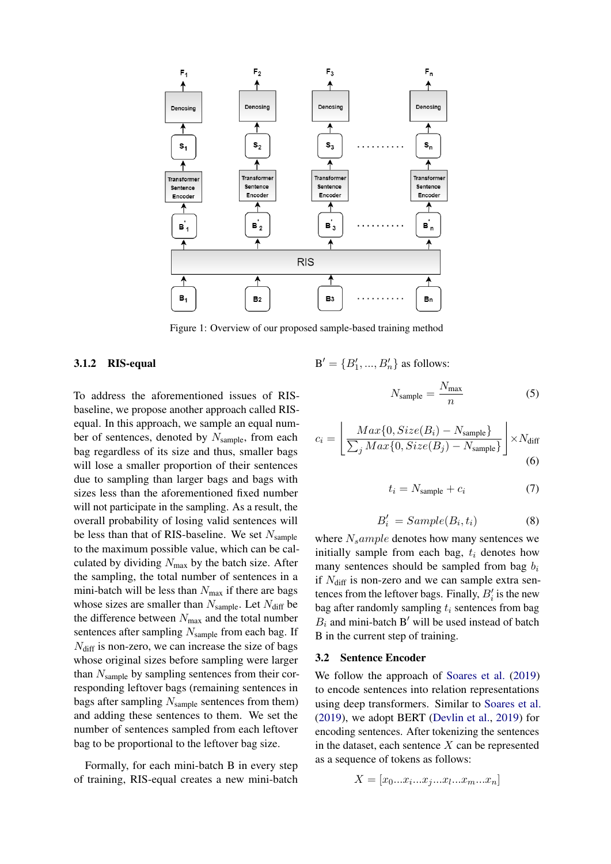<span id="page-3-0"></span>

Figure 1: Overview of our proposed sample-based training method

### 3.1.2 RIS-equal

To address the aforementioned issues of RISbaseline, we propose another approach called RISequal. In this approach, we sample an equal number of sentences, denoted by  $N_{\text{sample}}$ , from each bag regardless of its size and thus, smaller bags will lose a smaller proportion of their sentences due to sampling than larger bags and bags with sizes less than the aforementioned fixed number will not participate in the sampling. As a result, the overall probability of losing valid sentences will be less than that of RIS-baseline. We set  $N_{\text{sample}}$ to the maximum possible value, which can be calculated by dividing  $N_{\text{max}}$  by the batch size. After the sampling, the total number of sentences in a mini-batch will be less than  $N_{\text{max}}$  if there are bags whose sizes are smaller than  $N_{\text{sample}}$ . Let  $N_{\text{diff}}$  be the difference between  $N_{\text{max}}$  and the total number sentences after sampling  $N_{\text{sample}}$  from each bag. If  $N<sub>diff</sub>$  is non-zero, we can increase the size of bags whose original sizes before sampling were larger than  $N_{\text{sample}}$  by sampling sentences from their corresponding leftover bags (remaining sentences in bags after sampling  $N_{\text{sample}}$  sentences from them) and adding these sentences to them. We set the number of sentences sampled from each leftover bag to be proportional to the leftover bag size.

Formally, for each mini-batch B in every step of training, RIS-equal creates a new mini-batch  $B' = \{B'_1, ..., B'_n\}$  as follows:

$$
N_{\text{sample}} = \frac{N_{\text{max}}}{n} \tag{5}
$$

$$
c_i = \left[ \frac{Max\{0, Size(B_i) - N_{sample}\}}{\sum_j Max\{0, Size(B_j) - N_{sample}\}} \right] \times N_{diff}
$$
\n(6)

$$
t_i = N_{\text{sample}} + c_i \tag{7}
$$

$$
B_i' = Sample(B_i, t_i)
$$
 (8)

where  $N_s$ ample denotes how many sentences we initially sample from each bag,  $t_i$  denotes how many sentences should be sampled from bag  $b_i$ if  $N_{\text{diff}}$  is non-zero and we can sample extra sentences from the leftover bags. Finally,  $B_i'$  is the new bag after randomly sampling  $t_i$  sentences from bag  $B_i$  and mini-batch B' will be used instead of batch B in the current step of training.

#### 3.2 Sentence Encoder

We follow the approach of [Soares et al.](#page-8-5) [\(2019\)](#page-8-5) to encode sentences into relation representations using deep transformers. Similar to [Soares et al.](#page-8-5) [\(2019\)](#page-8-5), we adopt BERT [\(Devlin et al.,](#page-7-0) [2019\)](#page-7-0) for encoding sentences. After tokenizing the sentences in the dataset, each sentence  $X$  can be represented as a sequence of tokens as follows:

$$
X = [x_0...x_i...x_j...x_l...x_m...x_n]
$$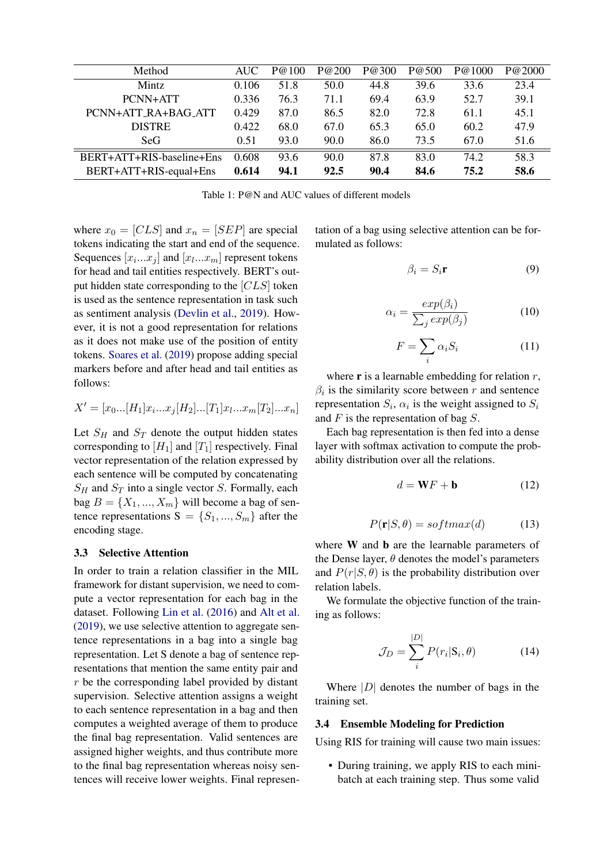<span id="page-4-0"></span>

| Method                    | AUC.  | P@100 | P@200 | P@300 | P@500 | P@1000 | P@2000 |
|---------------------------|-------|-------|-------|-------|-------|--------|--------|
| <b>Mintz</b>              | 0.106 | 51.8  | 50.0  | 44.8  | 39.6  | 33.6   | 23.4   |
| PCNN+ATT                  | 0.336 | 76.3  | 71.1  | 69.4  | 63.9  | 52.7   | 39.1   |
| PCNN+ATT_RA+BAG_ATT       | 0.429 | 87.0  | 86.5  | 82.0  | 72.8  | 61.1   | 45.1   |
| <b>DISTRE</b>             | 0.422 | 68.0  | 67.0  | 65.3  | 65.0  | 60.2   | 47.9   |
| SeG.                      | 0.51  | 93.0  | 90.0  | 86.0  | 73.5  | 67.0   | 51.6   |
| BERT+ATT+RIS-baseline+Ens | 0.608 | 93.6  | 90.0  | 87.8  | 83.0  | 74.2   | 58.3   |
| BERT+ATT+RIS-equal+Ens    | 0.614 | 94.1  | 92.5  | 90.4  | 84.6  | 75.2   | 58.6   |

Table 1: P@N and AUC values of different models

where  $x_0 = [CLS]$  and  $x_n = [SEP]$  are special tokens indicating the start and end of the sequence. Sequences  $[x_i...x_j]$  and  $[x_l...x_m]$  represent tokens for head and tail entities respectively. BERT's output hidden state corresponding to the  $[CLS]$  token is used as the sentence representation in task such as sentiment analysis [\(Devlin et al.,](#page-7-0) [2019\)](#page-7-0). However, it is not a good representation for relations as it does not make use of the position of entity tokens. [Soares et al.](#page-8-5) [\(2019\)](#page-8-5) propose adding special markers before and after head and tail entities as follows:

$$
X' = [x_0...[H_1]x_i...x_j[H_2]...[T_1]x_l...x_m[T_2]...x_n]
$$

Let  $S_H$  and  $S_T$  denote the output hidden states corresponding to  $[H_1]$  and  $[T_1]$  respectively. Final vector representation of the relation expressed by each sentence will be computed by concatenating  $S_H$  and  $S_T$  into a single vector S. Formally, each bag  $B = \{X_1, ..., X_m\}$  will become a bag of sentence representations  $S = \{S_1, ..., S_m\}$  after the encoding stage.

#### 3.3 Selective Attention

In order to train a relation classifier in the MIL framework for distant supervision, we need to compute a vector representation for each bag in the dataset. Following [Lin et al.](#page-8-1) [\(2016\)](#page-8-1) and [Alt et al.](#page-7-2) [\(2019\)](#page-7-2), we use selective attention to aggregate sentence representations in a bag into a single bag representation. Let S denote a bag of sentence representations that mention the same entity pair and r be the corresponding label provided by distant supervision. Selective attention assigns a weight to each sentence representation in a bag and then computes a weighted average of them to produce the final bag representation. Valid sentences are assigned higher weights, and thus contribute more to the final bag representation whereas noisy sentences will receive lower weights. Final representation of a bag using selective attention can be formulated as follows:

$$
\beta_i = S_i \mathbf{r} \tag{9}
$$

$$
\alpha_i = \frac{exp(\beta_i)}{\sum_j exp(\beta_j)}
$$
(10)

$$
F = \sum_{i} \alpha_i S_i \tag{11}
$$

where  $\bf{r}$  is a learnable embedding for relation  $r$ ,  $\beta_i$  is the similarity score between r and sentence representation  $S_i$ ,  $\alpha_i$  is the weight assigned to  $S_i$ and  $F$  is the representation of bag  $S$ .

Each bag representation is then fed into a dense layer with softmax activation to compute the probability distribution over all the relations.

$$
d = \mathbf{W}F + \mathbf{b} \tag{12}
$$

$$
P(\mathbf{r}|S,\theta) = softmax(d) \tag{13}
$$

where W and **b** are the learnable parameters of the Dense layer,  $\theta$  denotes the model's parameters and  $P(r|S,\theta)$  is the probability distribution over relation labels.

We formulate the objective function of the training as follows:

$$
\mathcal{J}_D = \sum_i^{|D|} P(r_i | \mathbf{S}_i, \theta)
$$
 (14)

Where  $|D|$  denotes the number of bags in the training set.

### 3.4 Ensemble Modeling for Prediction

Using RIS for training will cause two main issues:

• During training, we apply RIS to each minibatch at each training step. Thus some valid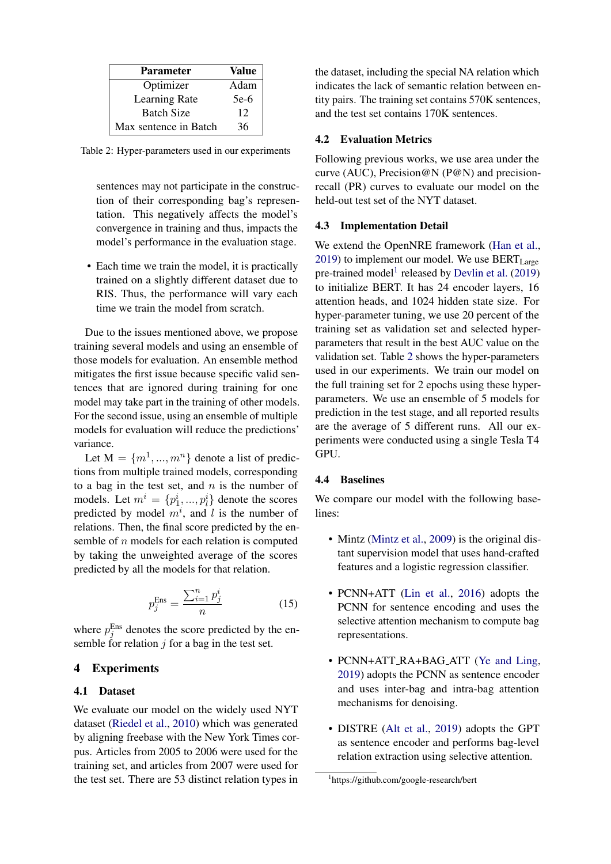<span id="page-5-1"></span>

| <b>Parameter</b>      | Value |
|-----------------------|-------|
| Optimizer             | Adam  |
| Learning Rate         | 5e-6  |
| <b>Batch Size</b>     | 12    |
| Max sentence in Batch | 36    |

Table 2: Hyper-parameters used in our experiments

sentences may not participate in the construction of their corresponding bag's representation. This negatively affects the model's convergence in training and thus, impacts the model's performance in the evaluation stage.

• Each time we train the model, it is practically trained on a slightly different dataset due to RIS. Thus, the performance will vary each time we train the model from scratch.

Due to the issues mentioned above, we propose training several models and using an ensemble of those models for evaluation. An ensemble method mitigates the first issue because specific valid sentences that are ignored during training for one model may take part in the training of other models. For the second issue, using an ensemble of multiple models for evaluation will reduce the predictions' variance.

Let  $M = \{m^1, ..., m^n\}$  denote a list of predictions from multiple trained models, corresponding to a bag in the test set, and  $n$  is the number of models. Let  $m^i = \{p_1^i, ..., p_l^i\}$  denote the scores predicted by model  $m^i$ , and l is the number of relations. Then, the final score predicted by the ensemble of n models for each relation is computed by taking the unweighted average of the scores predicted by all the models for that relation.

$$
p_j^{\text{Ens}} = \frac{\sum_{i=1}^n p_j^i}{n} \tag{15}
$$

where  $p_j^{\text{Ens}}$  denotes the score predicted by the ensemble for relation  $j$  for a bag in the test set.

### 4 Experiments

### 4.1 Dataset

We evaluate our model on the widely used NYT dataset [\(Riedel et al.,](#page-8-7) [2010\)](#page-8-7) which was generated by aligning freebase with the New York Times corpus. Articles from 2005 to 2006 were used for the training set, and articles from 2007 were used for the test set. There are 53 distinct relation types in

the dataset, including the special NA relation which indicates the lack of semantic relation between entity pairs. The training set contains 570K sentences, and the test set contains 170K sentences.

### 4.2 Evaluation Metrics

Following previous works, we use area under the curve (AUC), Precision@N (P@N) and precisionrecall (PR) curves to evaluate our model on the held-out test set of the NYT dataset.

#### 4.3 Implementation Detail

We extend the OpenNRE framework [\(Han et al.,](#page-8-17)  $2019$ ) to implement our model. We use  $BERT_{Large}$ pre-trained model<sup>[1](#page-5-0)</sup> released by [Devlin et al.](#page-7-0) [\(2019\)](#page-7-0) to initialize BERT. It has 24 encoder layers, 16 attention heads, and 1024 hidden state size. For hyper-parameter tuning, we use 20 percent of the training set as validation set and selected hyperparameters that result in the best AUC value on the validation set. Table [2](#page-5-1) shows the hyper-parameters used in our experiments. We train our model on the full training set for 2 epochs using these hyperparameters. We use an ensemble of 5 models for prediction in the test stage, and all reported results are the average of 5 different runs. All our experiments were conducted using a single Tesla T4 GPU.

# 4.4 Baselines

We compare our model with the following baselines:

- Mintz [\(Mintz et al.,](#page-8-0) [2009\)](#page-8-0) is the original distant supervision model that uses hand-crafted features and a logistic regression classifier.
- PCNN+ATT [\(Lin et al.,](#page-8-1) [2016\)](#page-8-1) adopts the PCNN for sentence encoding and uses the selective attention mechanism to compute bag representations.
- PCNN+ATT\_RA+BAG\_ATT [\(Ye and Ling,](#page-8-14) [2019\)](#page-8-14) adopts the PCNN as sentence encoder and uses inter-bag and intra-bag attention mechanisms for denoising.
- DISTRE [\(Alt et al.,](#page-7-2) [2019\)](#page-7-2) adopts the GPT as sentence encoder and performs bag-level relation extraction using selective attention.

<span id="page-5-0"></span><sup>1</sup> https://github.com/google-research/bert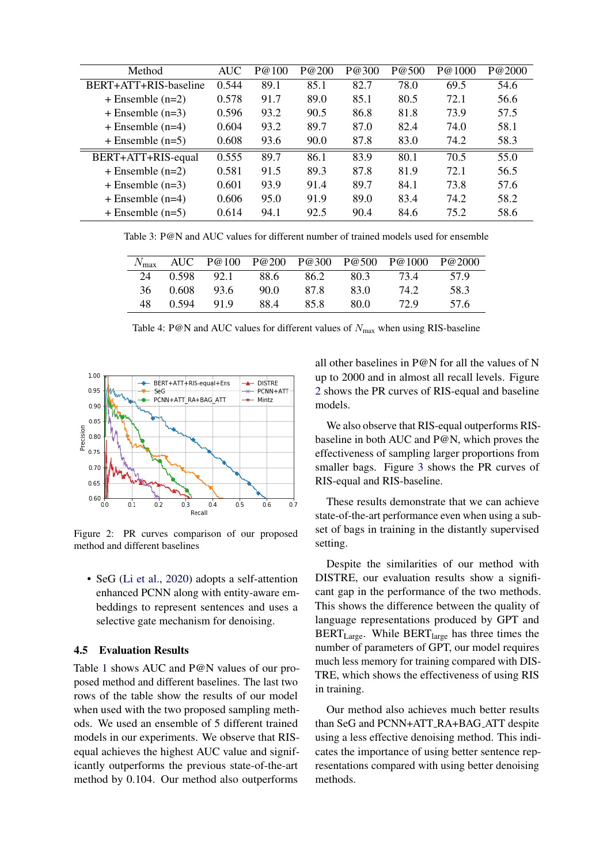<span id="page-6-1"></span>

| Method                | <b>AUC</b> | P@100 | P@200 | P@300 | P@500 | P@1000 | P@2000 |
|-----------------------|------------|-------|-------|-------|-------|--------|--------|
| BERT+ATT+RIS-baseline | 0.544      | 89.1  | 85.1  | 82.7  | 78.0  | 69.5   | 54.6   |
| $+$ Ensemble $(n=2)$  | 0.578      | 91.7  | 89.0  | 85.1  | 80.5  | 72.1   | 56.6   |
| $+$ Ensemble $(n=3)$  | 0.596      | 93.2  | 90.5  | 86.8  | 81.8  | 73.9   | 57.5   |
| $+$ Ensemble (n=4)    | 0.604      | 93.2  | 89.7  | 87.0  | 82.4  | 74.0   | 58.1   |
| $+$ Ensemble $(n=5)$  | 0.608      | 93.6  | 90.0  | 87.8  | 83.0  | 74.2   | 58.3   |
| BERT+ATT+RIS-equal    | 0.555      | 89.7  | 86.1  | 83.9  | 80.1  | 70.5   | 55.0   |
| $+$ Ensemble (n=2)    | 0.581      | 91.5  | 89.3  | 87.8  | 81.9  | 72.1   | 56.5   |
| $+$ Ensemble $(n=3)$  | 0.601      | 93.9  | 91.4  | 89.7  | 84.1  | 73.8   | 57.6   |
| $+$ Ensemble (n=4)    | 0.606      | 95.0  | 91.9  | 89.0  | 83.4  | 74.2   | 58.2   |
| $+$ Ensemble $(n=5)$  | 0.614      | 94.1  | 92.5  | 90.4  | 84.6  | 75.2   | 58.6   |

<span id="page-6-2"></span>Table 3: P@N and AUC values for different number of trained models used for ensemble

|     |       |       |       |      |      | AUC P@100 P@200 P@300 P@500 P@1000 P@2000 |       |
|-----|-------|-------|-------|------|------|-------------------------------------------|-------|
| 24  | 0.598 | 92.1  | -88.6 | 86.2 | 80.3 | 734                                       | 57 Q  |
| 36. | 0.608 | -93.6 | 90.0  | 87.8 | 83.0 | 74.2                                      | 58.3  |
| 48. | 0.594 | 919   | 884   | 85.8 | 80.0 | 72.9                                      | -57.6 |

Table 4: P@N and AUC values for different values of  $N_{\text{max}}$  when using RIS-baseline

<span id="page-6-0"></span>

Figure 2: PR curves comparison of our proposed method and different baselines

• SeG [\(Li et al.,](#page-8-16) [2020\)](#page-8-16) adopts a self-attention enhanced PCNN along with entity-aware embeddings to represent sentences and uses a selective gate mechanism for denoising.

#### 4.5 Evaluation Results

Table [1](#page-4-0) shows AUC and P@N values of our proposed method and different baselines. The last two rows of the table show the results of our model when used with the two proposed sampling methods. We used an ensemble of 5 different trained models in our experiments. We observe that RISequal achieves the highest AUC value and significantly outperforms the previous state-of-the-art method by 0.104. Our method also outperforms

all other baselines in P@N for all the values of N up to 2000 and in almost all recall levels. Figure [2](#page-6-0) shows the PR curves of RIS-equal and baseline models.

We also observe that RIS-equal outperforms RISbaseline in both AUC and P@N, which proves the effectiveness of sampling larger proportions from smaller bags. Figure [3](#page-7-3) shows the PR curves of RIS-equal and RIS-baseline.

These results demonstrate that we can achieve state-of-the-art performance even when using a subset of bags in training in the distantly supervised setting.

Despite the similarities of our method with DISTRE, our evaluation results show a significant gap in the performance of the two methods. This shows the difference between the quality of language representations produced by GPT and BERT<sub>Large</sub>. While BERT<sub>large</sub> has three times the number of parameters of GPT, our model requires much less memory for training compared with DIS-TRE, which shows the effectiveness of using RIS in training.

Our method also achieves much better results than SeG and PCNN+ATT RA+BAG ATT despite using a less effective denoising method. This indicates the importance of using better sentence representations compared with using better denoising methods.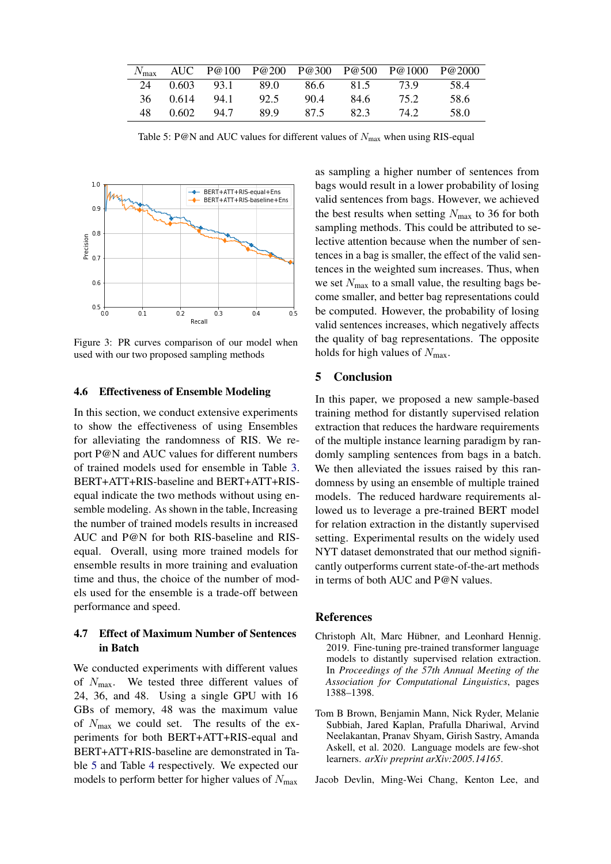<span id="page-7-4"></span>

|     |                    |      |     |      | $N_{\text{max}}$ AUC P@100 P@200 P@300 P@500 P@1000 P@2000 |       |
|-----|--------------------|------|-----|------|------------------------------------------------------------|-------|
|     | 24 0.603 93.1 89.0 |      |     |      | 86.6 81.5 73.9                                             | -58.4 |
|     | 36 0.614 94.1      | 92.5 | 904 | 84.6 | 75.2                                                       | 58.6  |
| 48. | 0.602 94.7         | 899  | 875 | 82.3 | 74.2                                                       | -58 O |

Table 5: P@N and AUC values for different values of  $N_{\text{max}}$  when using RIS-equal

<span id="page-7-3"></span>

Figure 3: PR curves comparison of our model when used with our two proposed sampling methods

#### 4.6 Effectiveness of Ensemble Modeling

In this section, we conduct extensive experiments to show the effectiveness of using Ensembles for alleviating the randomness of RIS. We report P@N and AUC values for different numbers of trained models used for ensemble in Table [3.](#page-6-1) BERT+ATT+RIS-baseline and BERT+ATT+RISequal indicate the two methods without using ensemble modeling. As shown in the table, Increasing the number of trained models results in increased AUC and P@N for both RIS-baseline and RISequal. Overall, using more trained models for ensemble results in more training and evaluation time and thus, the choice of the number of models used for the ensemble is a trade-off between performance and speed.

# 4.7 Effect of Maximum Number of Sentences in Batch

We conducted experiments with different values of  $N_{\text{max}}$ . We tested three different values of 24, 36, and 48. Using a single GPU with 16 GBs of memory, 48 was the maximum value of  $N_{\text{max}}$  we could set. The results of the experiments for both BERT+ATT+RIS-equal and BERT+ATT+RIS-baseline are demonstrated in Table [5](#page-7-4) and Table [4](#page-6-2) respectively. We expected our models to perform better for higher values of  $N_{\text{max}}$ 

as sampling a higher number of sentences from bags would result in a lower probability of losing valid sentences from bags. However, we achieved the best results when setting  $N_{\text{max}}$  to 36 for both sampling methods. This could be attributed to selective attention because when the number of sentences in a bag is smaller, the effect of the valid sentences in the weighted sum increases. Thus, when we set  $N_{\text{max}}$  to a small value, the resulting bags become smaller, and better bag representations could be computed. However, the probability of losing valid sentences increases, which negatively affects the quality of bag representations. The opposite holds for high values of  $N_{\text{max}}$ .

# 5 Conclusion

In this paper, we proposed a new sample-based training method for distantly supervised relation extraction that reduces the hardware requirements of the multiple instance learning paradigm by randomly sampling sentences from bags in a batch. We then alleviated the issues raised by this randomness by using an ensemble of multiple trained models. The reduced hardware requirements allowed us to leverage a pre-trained BERT model for relation extraction in the distantly supervised setting. Experimental results on the widely used NYT dataset demonstrated that our method significantly outperforms current state-of-the-art methods in terms of both AUC and P@N values.

### References

- <span id="page-7-2"></span>Christoph Alt, Marc Hübner, and Leonhard Hennig. 2019. Fine-tuning pre-trained transformer language models to distantly supervised relation extraction. In *Proceedings of the 57th Annual Meeting of the Association for Computational Linguistics*, pages 1388–1398.
- <span id="page-7-1"></span>Tom B Brown, Benjamin Mann, Nick Ryder, Melanie Subbiah, Jared Kaplan, Prafulla Dhariwal, Arvind Neelakantan, Pranav Shyam, Girish Sastry, Amanda Askell, et al. 2020. Language models are few-shot learners. *arXiv preprint arXiv:2005.14165*.

<span id="page-7-0"></span>Jacob Devlin, Ming-Wei Chang, Kenton Lee, and